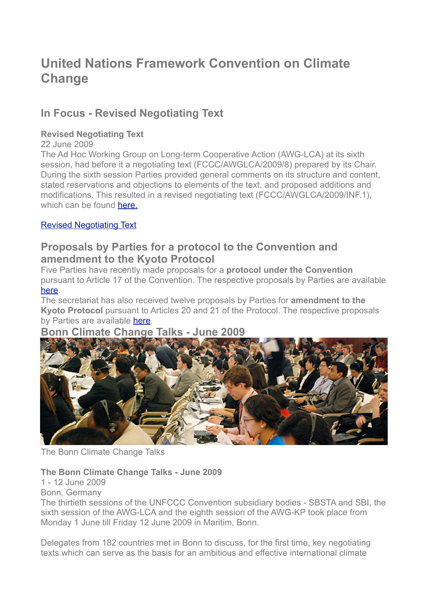# **United Nations Framework Convention on Climate Change**

## **In Focus - Revised Negotiating Text**

## **Revised Negotiating Text**

22 June 2009

The Ad Hoc Working Group on Long-term Cooperative Action (AWG-LCA) at its sixth session, had before it a negotiating text (FCCC/AWGLCA/2009/8) prepared by its Chair. During the sixth session Parties provided general comments on its structure and content, stated reservations and objections to elements of the text, and proposed additions and modifications. This resulted in a revised negotiating text (FCCC/AWGLCA/2009/INF.1), which can be found **here**.

## [Revised Negotiating Text](http://unfccc.int/essential_background/library/items/3599.php?such=j&symbol=FCCC/AWGLCA/2009/INF.1#beg)

## **Proposals by Parties for a protocol to the Convention and amendment to the Kyoto Protocol**

Five Parties have recently made proposals for a **protocol under the Convention** pursuant to Article 17 of the Convention. The respective proposals by Parties are available [here.](http://unfccc.int/documentation/items/4898.php)

The secretariat has also received twelve proposals by Parties for **amendment to the Kyoto Protocol** pursuant to Articles 20 and 21 of the Protocol. The respective proposals by Parties are available [here.](http://unfccc.int/documentation/items/4899.php)

## **Bonn Climate Change Talks - June 2009**



The Bonn Climate Change Talks

### **The Bonn Climate Change Talks - June 2009**

1 - 12 June 2009

Bonn, Germany

The thirtieth sessions of the UNFCCC Convention subsidiary bodies - SBSTA and SBI, the sixth session of the AWG-LCA and the eighth session of the AWG-KP took place from Monday 1 June till Friday 12 June 2009 in Maritim, Bonn.

Delegates from 182 countries met in Bonn to discuss, for the first time, key negotiating texts which can serve as the basis for an ambitious and effective international climate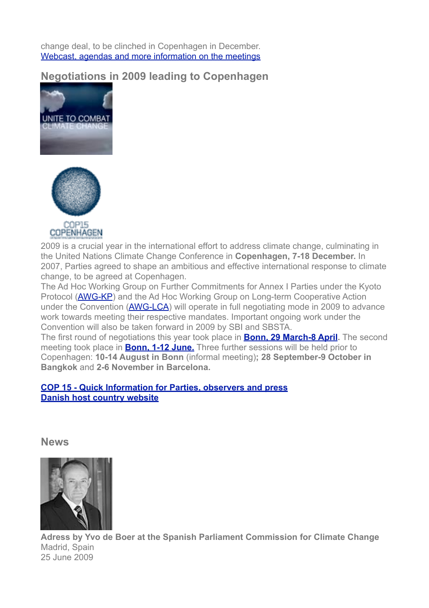change deal, to be clinched in Copenhagen in December. [Webcast, agendas and more information on the meetings](http://unfccc.int/meetings/sb30/items/4842.php)

**Negotiations in 2009 leading to Copenhagen**





**COPENHAGEN** 

2009 is a crucial year in the international effort to address climate change, culminating in the United Nations Climate Change Conference in **Copenhagen, 7-18 December.** In 2007, Parties agreed to shape an ambitious and effective international response to climate change, to be agreed at Copenhagen.

The Ad Hoc Working Group on Further Commitments for Annex I Parties under the Kyoto Protocol [\(AWG-KP](http://unfccc.int/kyoto_protocol/items/4577.php)) and the Ad Hoc Working Group on Long-term Cooperative Action under the Convention ([AWG-LCA](http://unfccc.int/meetings/items/4381.php)) will operate in full negotiating mode in 2009 to advance work towards meeting their respective mandates. Important ongoing work under the Convention will also be taken forward in 2009 by SBI and SBSTA.

The first round of negotiations this year took place in **[Bonn, 29 March-8 April](http://unfccc.int/meetings/intersessional/bonn_09/items/4753.php).** The second meeting took place in **[Bonn, 1-12 June.](http://unfccc.int/meetings/sb30/items/4842.php)** Three further sessions will be held prior to Copenhagen: **10-14 August in Bonn** (informal meeting)**; 28 September-9 October in Bangkok** and **2-6 November in Barcelona.**

### **[COP 15 - Quick Information for Parties, observers and press](http://unfccc.int/meetings/items/4749.php) [Danish host country website](http://en.cop15.dk/)**

**News**



**Adress by Yvo de Boer at the Spanish Parliament Commission for Climate Change** Madrid, Spain 25 June 2009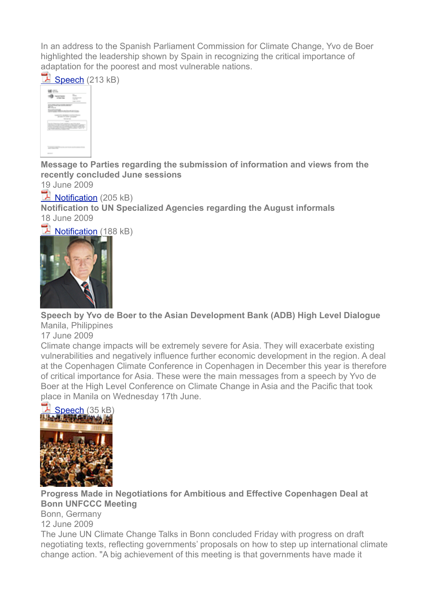In an address to the Spanish Parliament Commission for Climate Change, Yvo de Boer highlighted the leadership shown by Spain in recognizing the critical importance of adaptation for the poorest and most vulnerable nations.





**Message to Parties regarding the submission of information and views from the recently concluded June sessions**

19 June 2009

Notification (205 kB)

**Notification to UN Specialized Agencies regarding the August informals** 18 June 2009

Notification (188 kB)



**Speech by Yvo de Boer to the Asian Development Bank (ADB) High Level Dialogue** Manila, Philippines

17 June 2009

Climate change impacts will be extremely severe for Asia. They will exacerbate existing vulnerabilities and negatively influence further economic development in the region. A deal at the Copenhagen Climate Conference in Copenhagen in December this year is therefore of critical importance for Asia. These were the main messages from a speech by Yvo de Boer at the High Level Conference on Climate Change in Asia and the Pacific that took place in Manila on Wednesday 17th June.



**Progress Made in Negotiations for Ambitious and Effective Copenhagen Deal at Bonn UNFCCC Meeting** Bonn, Germany 12 June 2009

The June UN Climate Change Talks in Bonn concluded Friday with progress on draft negotiating texts, reflecting governments' proposals on how to step up international climate change action. "A big achievement of this meeting is that governments have made it